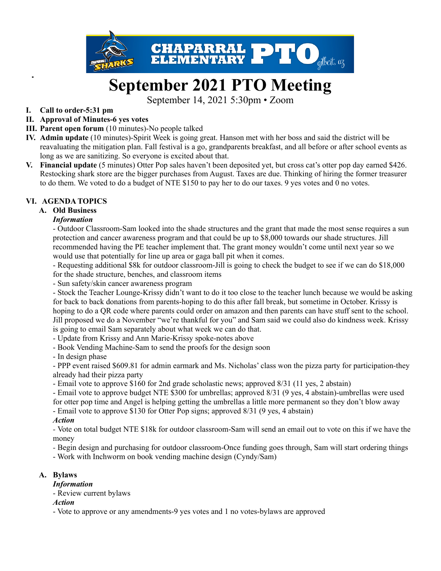

# **September 2021 PTO Meeting**

September 14, 2021 5:30pm • Zoom

#### **I. Call to order-5:31 pm**

- **II. Approval of Minutes-6 yes votes**
- **III. Parent open forum** (10 minutes)-No people talked
- **IV. Admin update** (10 minutes)-Spirit Week is going great. Hanson met with her boss and said the district will be reavaluating the mitigation plan. Fall festival is a go, grandparents breakfast, and all before or after school events as long as we are sanitizing. So everyone is excited about that.
- **V. Financial update** (5 minutes) Otter Pop sales haven't been deposited yet, but cross cat's otter pop day earned \$426. Restocking shark store are the bigger purchases from August. Taxes are due. Thinking of hiring the former treasurer to do them. We voted to do a budget of NTE \$150 to pay her to do our taxes. 9 yes votes and 0 no votes.

#### **VI. AGENDA TOPICS**

#### **A. Old Business**

#### *Information*

- Outdoor Classroom-Sam looked into the shade structures and the grant that made the most sense requires a sun protection and cancer awareness program and that could be up to \$8,000 towards our shade structures. Jill recommended having the PE teacher implement that. The grant money wouldn't come until next year so we would use that potentially for line up area or gaga ball pit when it comes.

- Requesting additional \$8k for outdoor classroom-Jill is going to check the budget to see if we can do \$18,000 for the shade structure, benches, and classroom items

- Sun safety/skin cancer awareness program

- Stock the Teacher Lounge-Krissy didn't want to do it too close to the teacher lunch because we would be asking for back to back donations from parents-hoping to do this after fall break, but sometime in October. Krissy is hoping to do a QR code where parents could order on amazon and then parents can have stuff sent to the school. Jill proposed we do a November "we're thankful for you" and Sam said we could also do kindness week. Krissy is going to email Sam separately about what week we can do that.

- Update from Krissy and Ann Marie-Krissy spoke-notes above

- Book Vending Machine-Sam to send the proofs for the design soon

- In design phase

- PPP event raised \$609.81 for admin earmark and Ms. Nicholas' class won the pizza party for participation-they already had their pizza party

- Email vote to approve \$160 for 2nd grade scholastic news; approved 8/31 (11 yes, 2 abstain)

- Email vote to approve budget NTE \$300 for umbrellas; approved 8/31 (9 yes, 4 abstain)-umbrellas were used for otter pop time and Angel is helping getting the umbrellas a little more permanent so they don't blow away

- Email vote to approve \$130 for Otter Pop signs; approved 8/31 (9 yes, 4 abstain)

#### *Action*

*-* Vote on total budget NTE \$18k for outdoor classroom-Sam will send an email out to vote on this if we have the money

*-* Begin design and purchasing for outdoor classroom-Once funding goes through, Sam will start ordering things

- Work with Inchworm on book vending machine design (Cyndy/Sam)

#### **A. Bylaws**

*Information*

- Review current bylaws

#### *Action*

- Vote to approve or any amendments-9 yes votes and 1 no votes-bylaws are approved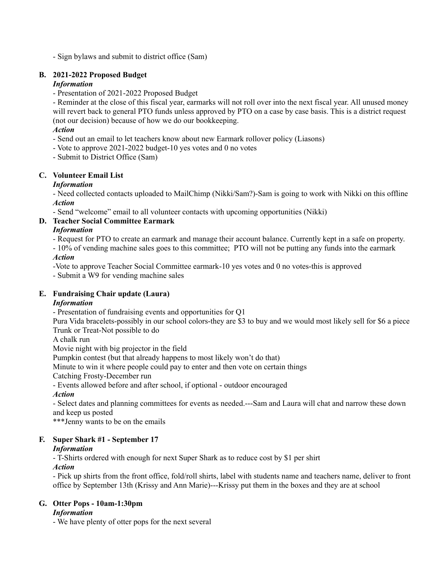- Sign bylaws and submit to district office (Sam)

#### **B. 2021-2022 Proposed Budget**

#### *Information*

- Presentation of 2021-2022 Proposed Budget

- Reminder at the close of this fiscal year, earmarks will not roll over into the next fiscal year. All unused money will revert back to general PTO funds unless approved by PTO on a case by case basis. This is a district request (not our decision) because of how we do our bookkeeping.

#### *Action*

- Send out an email to let teachers know about new Earmark rollover policy (Liasons)
- Vote to approve 2021-2022 budget-10 yes votes and 0 no votes
- Submit to District Office (Sam)

#### **C. Volunteer Email List**

#### *Information*

- Need collected contacts uploaded to MailChimp (Nikki/Sam?)-Sam is going to work with Nikki on this offline *Action*

- Send "welcome" email to all volunteer contacts with upcoming opportunities (Nikki)

#### **D. Teacher Social Committee Earmark**

#### *Information*

- Request for PTO to create an earmark and manage their account balance. Currently kept in a safe on property.
- 10% of vending machine sales goes to this committee; PTO will not be putting any funds into the earmark *Action*

-Vote to approve Teacher Social Committee earmark-10 yes votes and 0 no votes-this is approved

- Submit a W9 for vending machine sales

#### **E. Fundraising Chair update (Laura)**

#### *Information*

- Presentation of fundraising events and opportunities for Q1

Pura Vida bracelets-possibly in our school colors-they are \$3 to buy and we would most likely sell for \$6 a piece Trunk or Treat-Not possible to do

A chalk run

Movie night with big projector in the field

Pumpkin contest (but that already happens to most likely won't do that)

Minute to win it where people could pay to enter and then vote on certain things

Catching Frosty-December run

- Events allowed before and after school, if optional - outdoor encouraged

#### *Action*

- Select dates and planning committees for events as needed.---Sam and Laura will chat and narrow these down and keep us posted

\*\*\*Jenny wants to be on the emails

#### **F. Super Shark #1 - September 17**

### *Information*

- T-Shirts ordered with enough for next Super Shark as to reduce cost by \$1 per shirt

#### *Action*

- Pick up shirts from the front office, fold/roll shirts, label with students name and teachers name, deliver to front office by September 13th (Krissy and Ann Marie)---Krissy put them in the boxes and they are at school

## **G. Otter Pops - 10am-1:30pm**

#### *Information*

- We have plenty of otter pops for the next several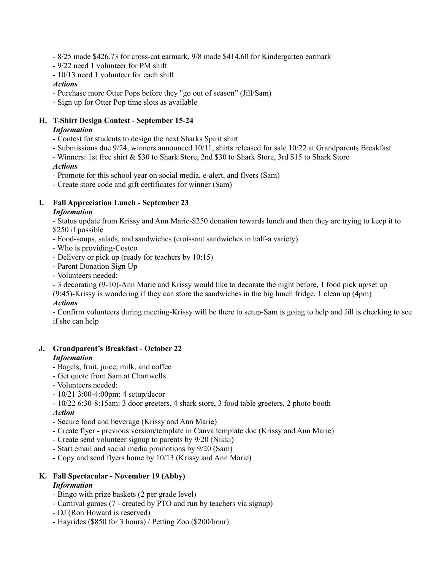- 8/25 made \$426.73 for cross-cat earmark, 9/8 made \$414.60 for Kindergarten earmark
- 9/22 need 1 volunteer for PM shift
- 10/13 need 1 volunteer for each shift

#### *Actions*

- Purchase more Otter Pops before they "go out of season" (Jill/Sam)
- Sign up for Otter Pop time slots as available

#### **H. T-Shirt Design Contest - September 15-24**

#### *Information*

- Contest for students to design the next Sharks Spirit shirt
- Submissions due 9/24, winners announced 10/11, shirts released for sale 10/22 at Grandparents Breakfast
- Winners: 1st free shirt & \$30 to Shark Store, 2nd \$30 to Shark Store, 3rd \$15 to Shark Store

#### *Actions*

- Promote for this school year on social media, e-alert, and flyers (Sam)
- Create store code and gift certificates for winner (Sam)

#### **I. Fall Appreciation Lunch - September 23**

#### *Information*

- Status update from Krissy and Ann Marie-\$250 donation towards lunch and then they are trying to keep it to \$250 if possible

- Food-soups, salads, and sandwiches (croissant sandwiches in half-a variety)
- Who is providing-Costco
- Delivery or pick up (ready for teachers by 10:15)
- Parent Donation Sign Up
- Volunteers needed:

- 3 decorating (9-10)-Ann Marie and Krissy would like to decorate the night before, 1 food pick up/set up

(9:45)-Krissy is wondering if they can store the sandwiches in the big lunch fridge, 1 clean up (4pm) *Actions*

- Confirm volunteers during meeting-Krissy will be there to setup-Sam is going to help and Jill is checking to see if she can help

# **J. Grandparent's Breakfast - October 22**

#### *Information*

- *-* Bagels, fruit, juice, milk, and coffee
- Get quote from Sam at Chartwells
- Volunteers needed:
- 10/21 3:00-4:00pm: 4 setup/decor
- 10/22 6:30-8:15am: 3 door greeters, 4 shark store, 3 food table greeters, 2 photo booth

#### *Action*

- Secure food and beverage (Krissy and Ann Marie)
- Create flyer previous version/template in Canva template doc (Krissy and Ann Marie)
- Create send volunteer signup to parents by 9/20 (Nikki)
- Start email and social media promotions by 9/20 (Sam)
- Copy and send flyers home by 10/13 (Krissy and Ann Marie)

# **K. Fall Spectacular - November 19 (Abby)**

#### *Information*

- Bingo with prize baskets (2 per grade level)
- Carnival games (7 created by PTO and run by teachers via signup)
- DJ (Ron Howard is reserved)
- Hayrides (\$850 for 3 hours) / Petting Zoo (\$200/hour)